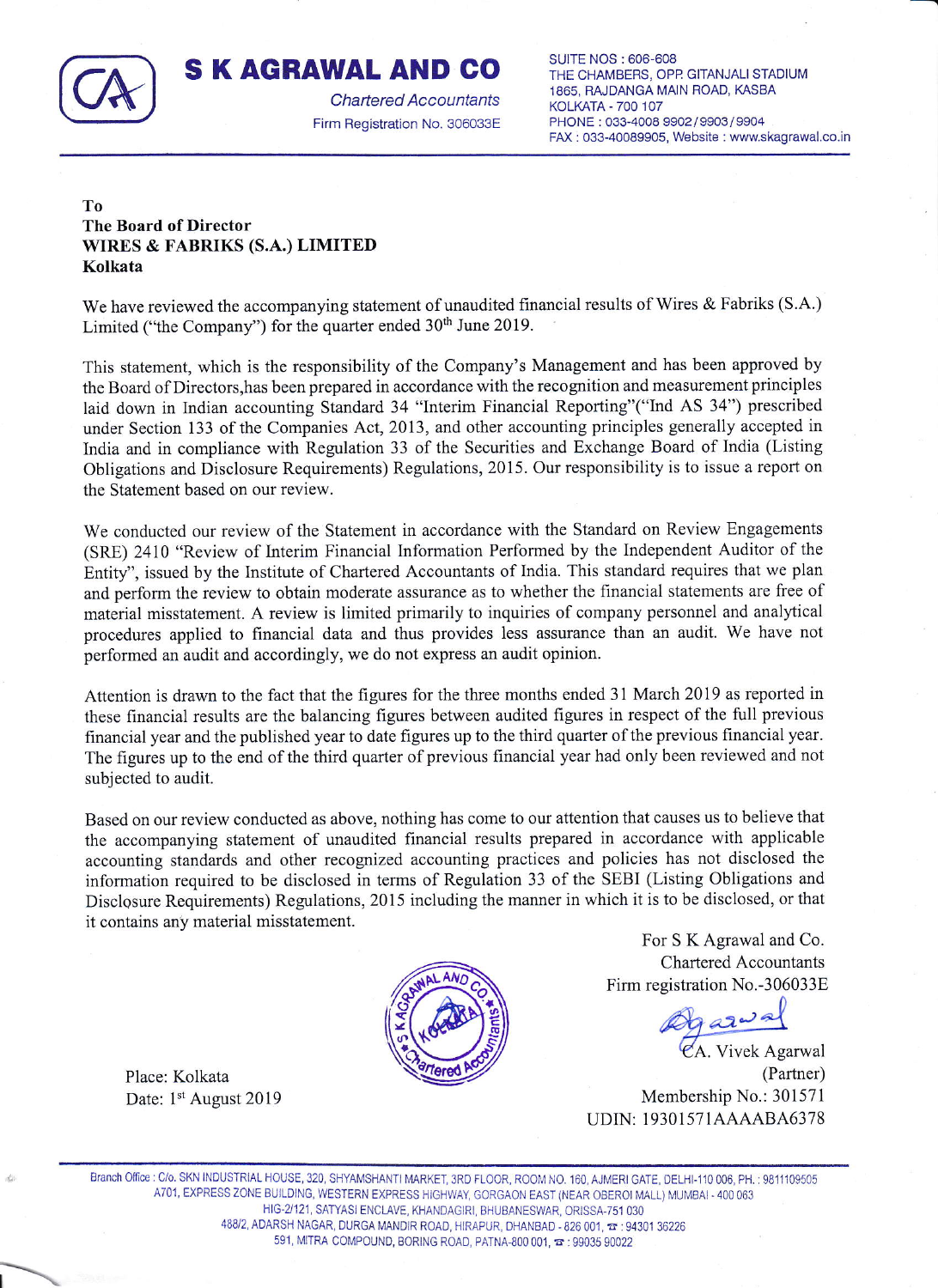

## S K AGRAWAL AND GO

Chartered Accountants Firm Begistration No, 306033E

SUITE NOS : 606-608 THE CHAMBERS, OPP. GITANJALI STADIUM 1865, RAJDANGA MAIN ROAD, KASBA KOLKATA - 7OO 107 PHONE : 033-4008 9902/9903/9904 FAx : 033-40089905, Website : www.skagrawal.co.in

## To The Board of Director WIRES & FABRIKS (S.A,) LIMITED Kolkata

We have reviewed the accompanying statement of unaudited financial results of Wires & Fabriks (S.A.) Limited ("the Company") for the quarter ended 30<sup>th</sup> June 2019.

This statement, which is the responsibility of the Company's Management and has been approved by the Board of Directors, has been prepared in accordance with the recognition and measurement principles laid down in Indian accounting Standard 34 "Interim Financial Reporting"("Ind AS 34") prescribed under Section 133 of the Companies Act, 2013, and other accounting principles generally accepted in India and in compliance with Regulation 33 of the Securities and Exchange Board of India (Listing Obligations and Disclosure Requirements) Regulations, 2015. Our responsibility is to issue a report on the Statement based on our review.

We conducted our review of the Statement in accordance with the Standard on Review Engagements (SRE) 2410 "Review of Interim Financial Information Performed by the Independent Auditor of the Entity", issued by the Institute of Chartered Accountants of India. This standard requires that we plan and perform the review to obtain moderate assurance as to whether the financial statements are free of material misstatement. A review is limited primarily to inquiries of company personnel and analytical procedures applied to financial data and thus provides less assurance than an audit. We have not performed an audit and accordingly, we do not express an audit opinion.

Attention is drawn to the fact that the figures for the three months ended 31 March 2019 as reported in these financial results are the balancing figures between audited figures in respect of the full previous financial year and the published year to date figures up to the third quarter ofthe previous financial year. The figures up to the end of the third quarter of previous financial year had only been reviewed and not subjected to audit.

Based on our review conducted as above, nothing has come to our attention that causes us to believe that the accompanying statement of unaudited financial results prepared in accordance with applicable accounting standards and other recognized accounting practices and policies has not disclosed the information required to be disclosed in terms of Regulation 33 of the SEBI (Listing Obligations and Disclosure Requirements) Regulations, 2015 including the manner in which it is to be disclosed, or that it contains any material misstatement.



For S K Agrawal and Co. Chartered Accountants Firm registration No.-306033E

Ogazwal

(Partner) Membership No.: 301571 UDIN: 19301571AAAABA6378

Place: Kolkata Date: 1st August 2019

Branch Office : C/o. SKN INDUSTRIAL HOUSE, 320, SHYAMSHANTI MARKET, 3RD FLOOR, ROOM NO. 160, AJMERI GATE, DELHI-110 006, PH. : 9811109505 A701, EXPRESS ZONE BUILDING, WESTERN EXPRESS HIGHWAY, GORGAON EAST (NEAR OBEROI MALL) MUMBAI - 400 063 HIG.ZI21, SATYASI ENCLAVE. KHANDAGIRI, BHUBANESWAR, ORISSA.751 O3O 488/2, ADARSH NAGAR, DURGA MANDIR ROAD, HIRAPUR, DHANBAD - 826 001,  $\pi$  : 94301 36226 591, MITRA COMPOUND, BORING ROAD, PATNA-800 001,  $\approx$  : 99035 90022